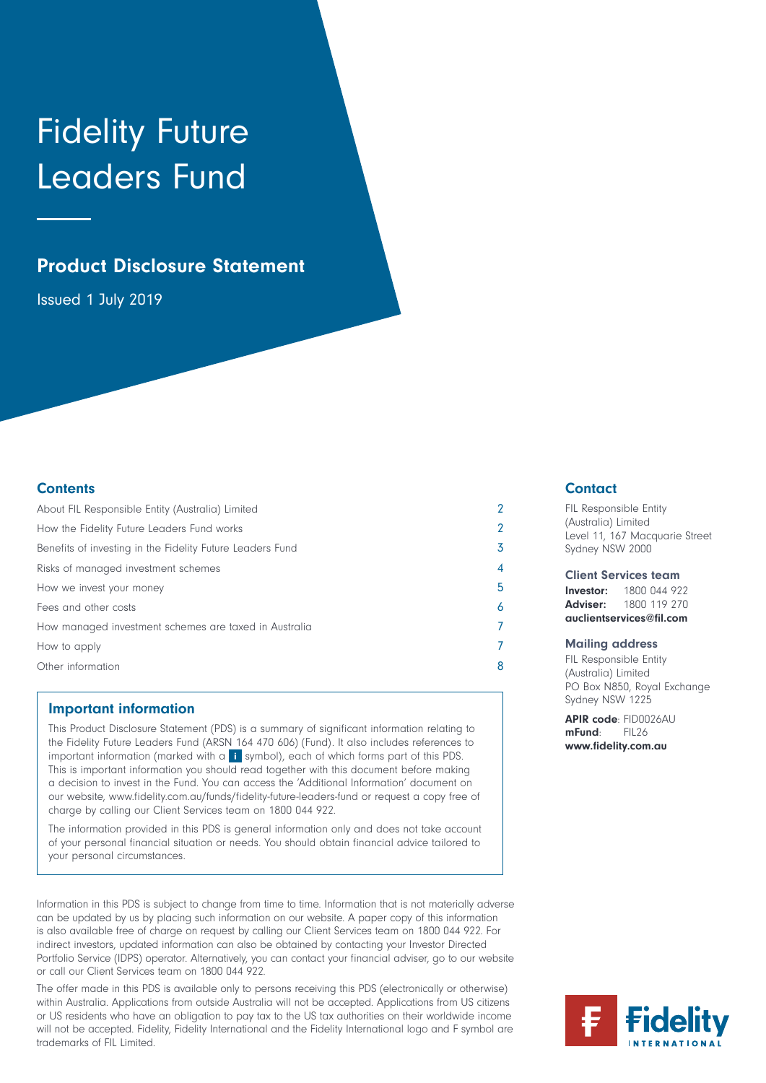# Fidelity Future Leaders Fund

# Product Disclosure Statement

Issued 1 July 2019

# **Contents**

| About FIL Responsible Entity (Australia) Limited          |   |
|-----------------------------------------------------------|---|
| How the Fidelity Future Leaders Fund works                |   |
| Benefits of investing in the Fidelity Future Leaders Fund | 3 |
| Risks of managed investment schemes                       | 4 |
| How we invest your money                                  | 5 |
| Fees and other costs                                      | 6 |
| How managed investment schemes are taxed in Australia     |   |
| How to apply                                              |   |
| Other information                                         | 8 |

# Important information

This Product Disclosure Statement (PDS) is a summary of significant information relating to the Fidelity Future Leaders Fund (ARSN 164 470 606) (Fund). It also includes references to important information (marked with a  $\overrightarrow{1}$  symbol), each of which forms part of this PDS. This is important information you should read together with this document before making a decision to invest in the Fund. You can access the 'Additional Information' document on our website, www.fidelity.com.au/funds/fidelity-future-leaders-fund or request a copy free of charge by calling our Client Services team on 1800 044 922.

The information provided in this PDS is general information only and does not take account of your personal financial situation or needs. You should obtain financial advice tailored to your personal circumstances.

Information in this PDS is subject to change from time to time. Information that is not materially adverse can be updated by us by placing such information on our website. A paper copy of this information is also available free of charge on request by calling our Client Services team on 1800 044 922. For indirect investors, updated information can also be obtained by contacting your Investor Directed Portfolio Service (IDPS) operator. Alternatively, you can contact your financial adviser, go to our website or call our Client Services team on 1800 044 922.

The offer made in this PDS is available only to persons receiving this PDS (electronically or otherwise) within Australia. Applications from outside Australia will not be accepted. Applications from US citizens or US residents who have an obligation to pay tax to the US tax authorities on their worldwide income will not be accepted. Fidelity, Fidelity International and the Fidelity International logo and F symbol are trademarks of FIL Limited.

# **Contact**

FIL Responsible Entity (Australia) Limited Level 11, 167 Macquarie Street Sydney NSW 2000

Client Services team

Investor: 1800 044 922 Adviser: 1800 119 270 auclientservices@fil.com

#### Mailing address

FIL Responsible Entity (Australia) Limited PO Box N850, Royal Exchange Sydney NSW 1225

APIR code: FID0026AU mFund: FIL26 www.fidelity.com.au

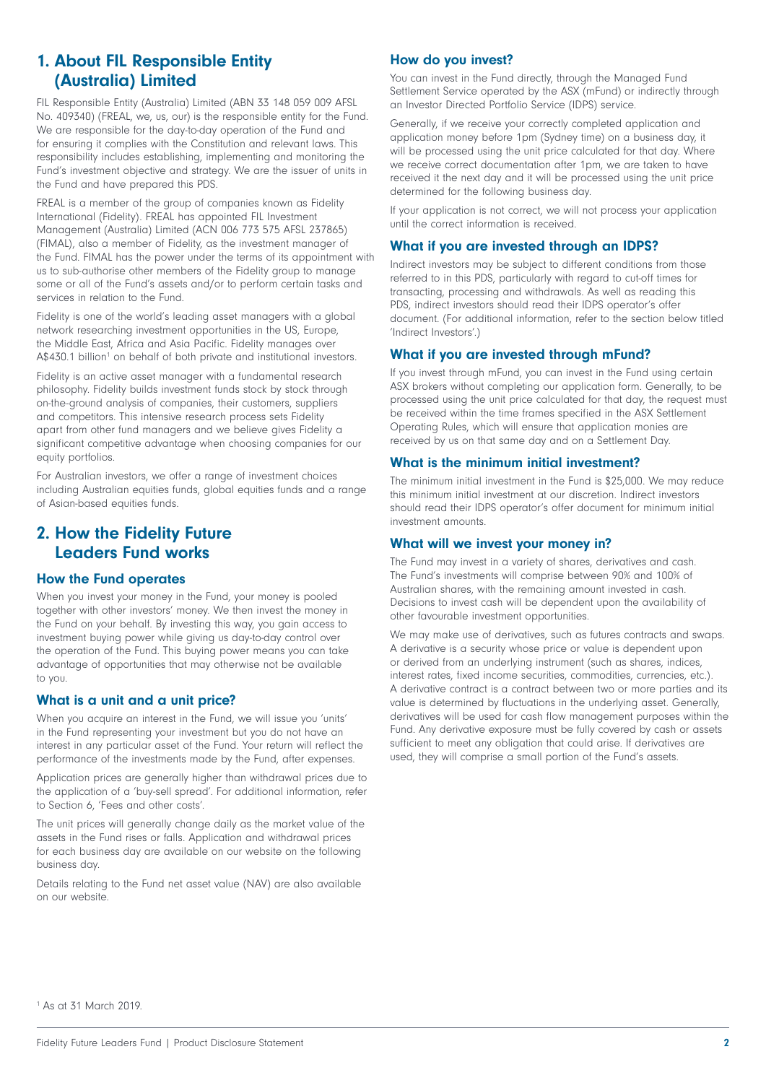# 1. About FIL Responsible Entity (Australia) Limited

FIL Responsible Entity (Australia) Limited (ABN 33 148 059 009 AFSL No. 409340) (FREAL, we, us, our) is the responsible entity for the Fund. We are responsible for the day-to-day operation of the Fund and for ensuring it complies with the Constitution and relevant laws. This responsibility includes establishing, implementing and monitoring the Fund's investment objective and strategy. We are the issuer of units in the Fund and have prepared this PDS.

FREAL is a member of the group of companies known as Fidelity International (Fidelity). FREAL has appointed FIL Investment Management (Australia) Limited (ACN 006 773 575 AFSL 237865) (FIMAL), also a member of Fidelity, as the investment manager of the Fund. FIMAL has the power under the terms of its appointment with us to sub-authorise other members of the Fidelity group to manage some or all of the Fund's assets and/or to perform certain tasks and services in relation to the Fund.

Fidelity is one of the world's leading asset managers with a global network researching investment opportunities in the US, Europe, the Middle East, Africa and Asia Pacific. Fidelity manages over A\$430.1 billion<sup>1</sup> on behalf of both private and institutional investors.

Fidelity is an active asset manager with a fundamental research philosophy. Fidelity builds investment funds stock by stock through on-the-ground analysis of companies, their customers, suppliers and competitors. This intensive research process sets Fidelity apart from other fund managers and we believe gives Fidelity a significant competitive advantage when choosing companies for our equity portfolios.

For Australian investors, we offer a range of investment choices including Australian equities funds, global equities funds and a range of Asian-based equities funds.

# 2. How the Fidelity Future Leaders Fund works

# How the Fund operates

When you invest your money in the Fund, your money is pooled together with other investors' money. We then invest the money in the Fund on your behalf. By investing this way, you gain access to investment buying power while giving us day-to-day control over the operation of the Fund. This buying power means you can take advantage of opportunities that may otherwise not be available to you.

# What is a unit and a unit price?

When you acquire an interest in the Fund, we will issue you 'units' in the Fund representing your investment but you do not have an interest in any particular asset of the Fund. Your return will reflect the performance of the investments made by the Fund, after expenses.

Application prices are generally higher than withdrawal prices due to the application of a 'buy-sell spread'. For additional information, refer to Section 6, 'Fees and other costs'.

The unit prices will generally change daily as the market value of the assets in the Fund rises or falls. Application and withdrawal prices for each business day are available on our website on the following business day.

Details relating to the Fund net asset value (NAV) are also available on our website.

# How do you invest?

You can invest in the Fund directly, through the Managed Fund Settlement Service operated by the ASX (mFund) or indirectly through an Investor Directed Portfolio Service (IDPS) service.

Generally, if we receive your correctly completed application and application money before 1pm (Sydney time) on a business day, it will be processed using the unit price calculated for that day. Where we receive correct documentation after 1pm, we are taken to have received it the next day and it will be processed using the unit price determined for the following business day.

If your application is not correct, we will not process your application until the correct information is received.

## What if you are invested through an IDPS?

Indirect investors may be subject to different conditions from those referred to in this PDS, particularly with regard to cut-off times for transacting, processing and withdrawals. As well as reading this PDS, indirect investors should read their IDPS operator's offer document. (For additional information, refer to the section below titled 'Indirect Investors'.)

# What if you are invested through mFund?

If you invest through mFund, you can invest in the Fund using certain ASX brokers without completing our application form. Generally, to be processed using the unit price calculated for that day, the request must be received within the time frames specified in the ASX Settlement Operating Rules, which will ensure that application monies are received by us on that same day and on a Settlement Day.

# What is the minimum initial investment?

The minimum initial investment in the Fund is \$25,000. We may reduce this minimum initial investment at our discretion. Indirect investors should read their IDPS operator's offer document for minimum initial investment amounts.

## What will we invest your money in?

The Fund may invest in a variety of shares, derivatives and cash. The Fund's investments will comprise between 90% and 100% of Australian shares, with the remaining amount invested in cash. Decisions to invest cash will be dependent upon the availability of other favourable investment opportunities.

We may make use of derivatives, such as futures contracts and swaps. A derivative is a security whose price or value is dependent upon or derived from an underlying instrument (such as shares, indices, interest rates, fixed income securities, commodities, currencies, etc.). A derivative contract is a contract between two or more parties and its value is determined by fluctuations in the underlying asset. Generally, derivatives will be used for cash flow management purposes within the Fund. Any derivative exposure must be fully covered by cash or assets sufficient to meet any obligation that could arise. If derivatives are used, they will comprise a small portion of the Fund's assets.

1 As at 31 March 2019.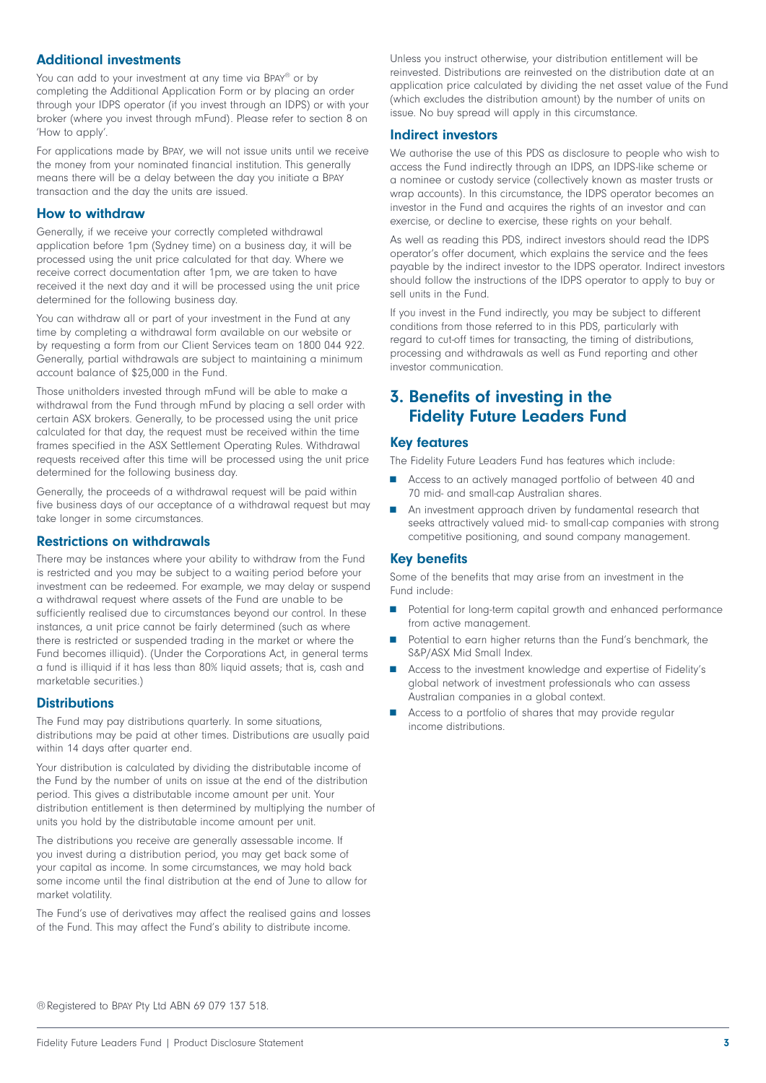# Additional investments

You can add to your investment at any time via BPAY® or by completing the Additional Application Form or by placing an order through your IDPS operator (if you invest through an IDPS) or with your broker (where you invest through mFund). Please refer to section 8 on 'How to apply'.

For applications made by Bpay, we will not issue units until we receive the money from your nominated financial institution. This generally means there will be a delay between the day you initiate a BPAY transaction and the day the units are issued.

## How to withdraw

Generally, if we receive your correctly completed withdrawal application before 1pm (Sydney time) on a business day, it will be processed using the unit price calculated for that day. Where we receive correct documentation after 1pm, we are taken to have received it the next day and it will be processed using the unit price determined for the following business day.

You can withdraw all or part of your investment in the Fund at any time by completing a withdrawal form available on our website or by requesting a form from our Client Services team on 1800 044 922. Generally, partial withdrawals are subject to maintaining a minimum account balance of \$25,000 in the Fund.

Those unitholders invested through mFund will be able to make a withdrawal from the Fund through mFund by placing a sell order with certain ASX brokers. Generally, to be processed using the unit price calculated for that day, the request must be received within the time frames specified in the ASX Settlement Operating Rules. Withdrawal requests received after this time will be processed using the unit price determined for the following business day.

Generally, the proceeds of a withdrawal request will be paid within five business days of our acceptance of a withdrawal request but may take longer in some circumstances.

## Restrictions on withdrawals

There may be instances where your ability to withdraw from the Fund is restricted and you may be subject to a waiting period before your investment can be redeemed. For example, we may delay or suspend a withdrawal request where assets of the Fund are unable to be sufficiently realised due to circumstances beyond our control. In these instances, a unit price cannot be fairly determined (such as where there is restricted or suspended trading in the market or where the Fund becomes illiquid). (Under the Corporations Act, in general terms a fund is illiquid if it has less than 80% liquid assets; that is, cash and marketable securities.)

## **Distributions**

The Fund may pay distributions quarterly. In some situations, distributions may be paid at other times. Distributions are usually paid within 14 days after quarter end.

Your distribution is calculated by dividing the distributable income of the Fund by the number of units on issue at the end of the distribution period. This gives a distributable income amount per unit. Your distribution entitlement is then determined by multiplying the number of units you hold by the distributable income amount per unit.

The distributions you receive are generally assessable income. If you invest during a distribution period, you may get back some of your capital as income. In some circumstances, we may hold back some income until the final distribution at the end of June to allow for market volatility.

The Fund's use of derivatives may affect the realised gains and losses of the Fund. This may affect the Fund's ability to distribute income.

Unless you instruct otherwise, your distribution entitlement will be reinvested. Distributions are reinvested on the distribution date at an application price calculated by dividing the net asset value of the Fund (which excludes the distribution amount) by the number of units on issue. No buy spread will apply in this circumstance.

#### Indirect investors

We authorise the use of this PDS as disclosure to people who wish to access the Fund indirectly through an IDPS, an IDPS-like scheme or a nominee or custody service (collectively known as master trusts or wrap accounts). In this circumstance, the IDPS operator becomes an investor in the Fund and acquires the rights of an investor and can exercise, or decline to exercise, these rights on your behalf.

As well as reading this PDS, indirect investors should read the IDPS operator's offer document, which explains the service and the fees payable by the indirect investor to the IDPS operator. Indirect investors should follow the instructions of the IDPS operator to apply to buy or sell units in the Fund.

If you invest in the Fund indirectly, you may be subject to different conditions from those referred to in this PDS, particularly with regard to cut-off times for transacting, the timing of distributions, processing and withdrawals as well as Fund reporting and other investor communication.

# 3. Benefits of investing in the Fidelity Future Leaders Fund

#### Key features

The Fidelity Future Leaders Fund has features which include:

- Access to an actively managed portfolio of between 40 and 70 mid- and small-cap Australian shares.
- An investment approach driven by fundamental research that seeks attractively valued mid- to small-cap companies with strong competitive positioning, and sound company management.

#### Key benefits

Some of the benefits that may arise from an investment in the Fund include:

- Potential for long-term capital growth and enhanced performance from active management.
- Potential to earn higher returns than the Fund's benchmark, the S&P/ASX Mid Small Index.
- Access to the investment knowledge and expertise of Fidelity's global network of investment professionals who can assess Australian companies in a global context.
- Access to a portfolio of shares that may provide regular income distributions.

®Registered to Bpay Pty Ltd ABN 69 079 137 518.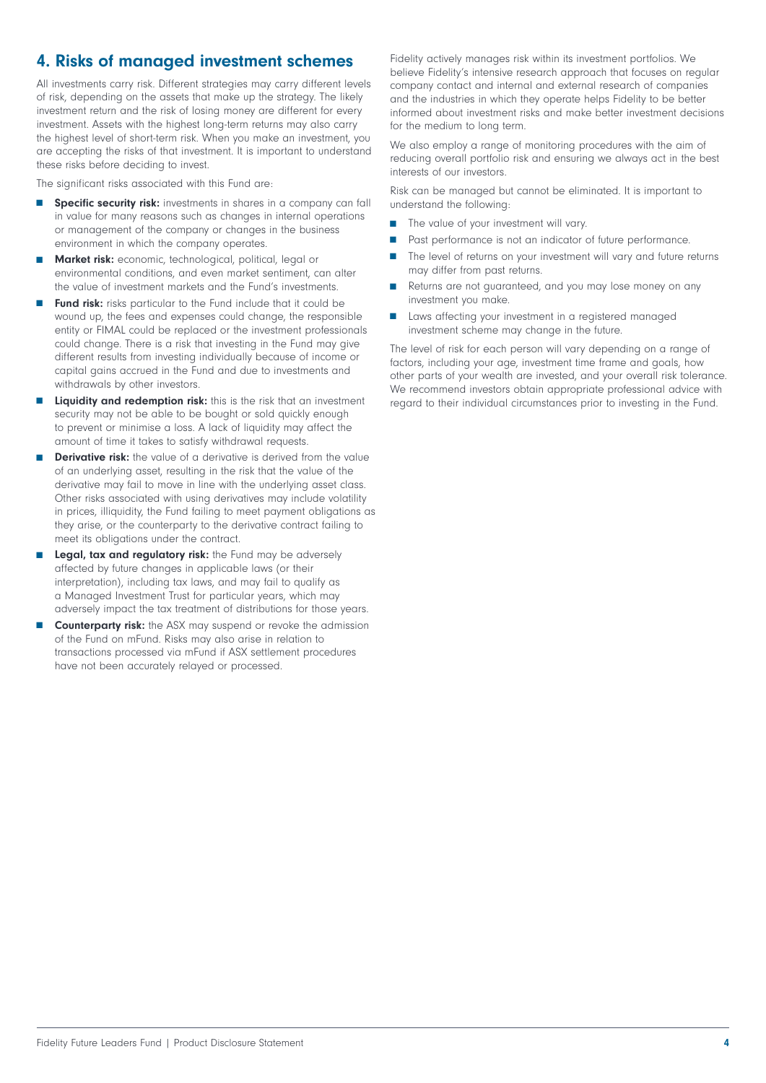# 4. Risks of managed investment schemes

All investments carry risk. Different strategies may carry different levels of risk, depending on the assets that make up the strategy. The likely investment return and the risk of losing money are different for every investment. Assets with the highest long-term returns may also carry the highest level of short-term risk. When you make an investment, you are accepting the risks of that investment. It is important to understand these risks before deciding to invest.

The significant risks associated with this Fund are:

- Specific security risk: investments in shares in a company can fall in value for many reasons such as changes in internal operations or management of the company or changes in the business environment in which the company operates.
- Market risk: economic, technological, political, legal or environmental conditions, and even market sentiment, can alter the value of investment markets and the Fund's investments.
- Fund risk: risks particular to the Fund include that it could be wound up, the fees and expenses could change, the responsible entity or FIMAL could be replaced or the investment professionals could change. There is a risk that investing in the Fund may give different results from investing individually because of income or capital gains accrued in the Fund and due to investments and withdrawals by other investors.
- Liquidity and redemption risk: this is the risk that an investment security may not be able to be bought or sold quickly enough to prevent or minimise a loss. A lack of liquidity may affect the amount of time it takes to satisfy withdrawal requests.
- **Derivative risk:** the value of a derivative is derived from the value of an underlying asset, resulting in the risk that the value of the derivative may fail to move in line with the underlying asset class. Other risks associated with using derivatives may include volatility in prices, illiquidity, the Fund failing to meet payment obligations as they arise, or the counterparty to the derivative contract failing to meet its obligations under the contract.
- Legal, tax and regulatory risk: the Fund may be adversely affected by future changes in applicable laws (or their interpretation), including tax laws, and may fail to qualify as a Managed Investment Trust for particular years, which may adversely impact the tax treatment of distributions for those years.
- **Counterparty risk:** the ASX may suspend or revoke the admission of the Fund on mFund. Risks may also arise in relation to transactions processed via mFund if ASX settlement procedures have not been accurately relayed or processed.

Fidelity actively manages risk within its investment portfolios. We believe Fidelity's intensive research approach that focuses on regular company contact and internal and external research of companies and the industries in which they operate helps Fidelity to be better informed about investment risks and make better investment decisions for the medium to long term.

We also employ a range of monitoring procedures with the aim of reducing overall portfolio risk and ensuring we always act in the best interests of our investors.

Risk can be managed but cannot be eliminated. It is important to understand the following:

- The value of your investment will vary.
- Past performance is not an indicator of future performance.
- The level of returns on your investment will vary and future returns may differ from past returns.
- Returns are not guaranteed, and you may lose money on any investment you make.
- Laws affecting your investment in a registered managed investment scheme may change in the future.

The level of risk for each person will vary depending on a range of factors, including your age, investment time frame and goals, how other parts of your wealth are invested, and your overall risk tolerance. We recommend investors obtain appropriate professional advice with regard to their individual circumstances prior to investing in the Fund.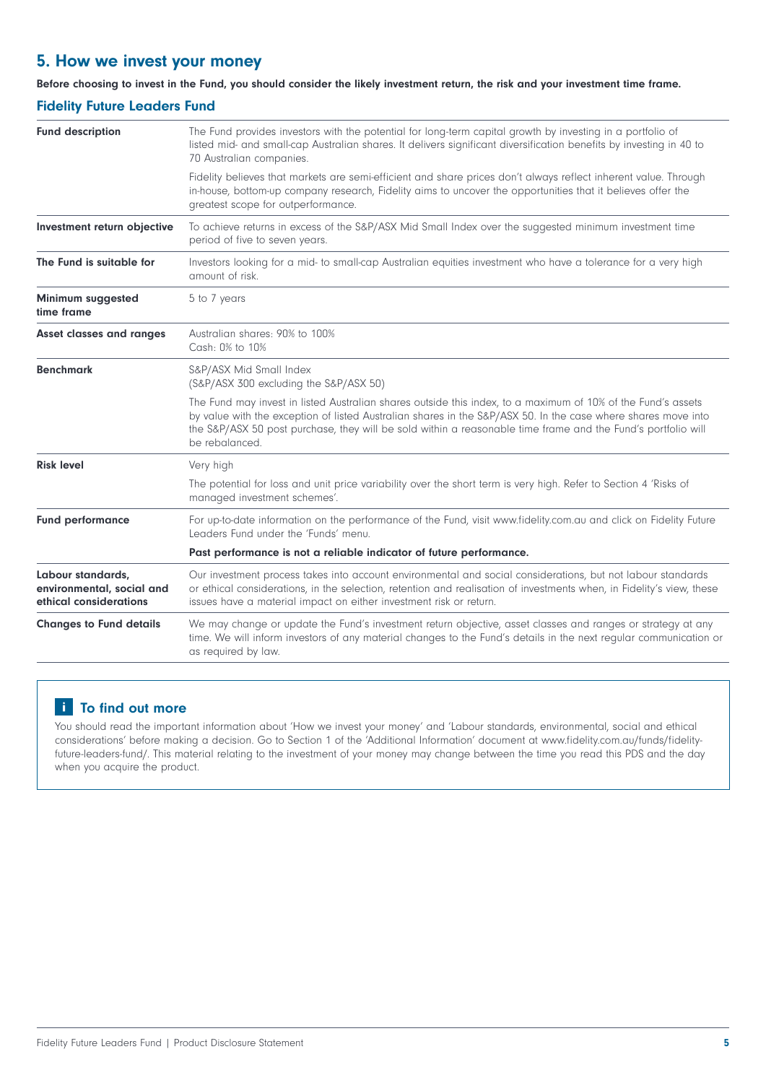# 5. How we invest your money

## Before choosing to invest in the Fund, you should consider the likely investment return, the risk and your investment time frame.

# Fidelity Future Leaders Fund

| <b>Fund description</b>                                                  | The Fund provides investors with the potential for long-term capital growth by investing in a portfolio of<br>listed mid- and small-cap Australian shares. It delivers significant diversification benefits by investing in 40 to<br>70 Australian companies.                                                                                                   |  |  |  |
|--------------------------------------------------------------------------|-----------------------------------------------------------------------------------------------------------------------------------------------------------------------------------------------------------------------------------------------------------------------------------------------------------------------------------------------------------------|--|--|--|
|                                                                          | Fidelity believes that markets are semi-efficient and share prices don't always reflect inherent value. Through<br>in-house, bottom-up company research, Fidelity aims to uncover the opportunities that it believes offer the<br>greatest scope for outperformance.                                                                                            |  |  |  |
| Investment return objective                                              | To achieve returns in excess of the S&P/ASX Mid Small Index over the suggested minimum investment time<br>period of five to seven years.                                                                                                                                                                                                                        |  |  |  |
| The Fund is suitable for                                                 | Investors looking for a mid- to small-cap Australian equities investment who have a tolerance for a very high<br>amount of risk.                                                                                                                                                                                                                                |  |  |  |
| Minimum suggested<br>time frame                                          | 5 to 7 years                                                                                                                                                                                                                                                                                                                                                    |  |  |  |
| <b>Asset classes and ranges</b>                                          | Australian shares: 90% to 100%<br>Cash: 0% to 10%                                                                                                                                                                                                                                                                                                               |  |  |  |
| <b>Benchmark</b>                                                         | S&P/ASX Mid Small Index<br>(S&P/ASX 300 excluding the S&P/ASX 50)                                                                                                                                                                                                                                                                                               |  |  |  |
|                                                                          | The Fund may invest in listed Australian shares outside this index, to a maximum of 10% of the Fund's assets<br>by value with the exception of listed Australian shares in the S&P/ASX 50. In the case where shares move into<br>the S&P/ASX 50 post purchase, they will be sold within a reasonable time frame and the Fund's portfolio will<br>be rebalanced. |  |  |  |
| <b>Risk level</b>                                                        | Very high                                                                                                                                                                                                                                                                                                                                                       |  |  |  |
|                                                                          | The potential for loss and unit price variability over the short term is very high. Refer to Section 4 'Risks of<br>managed investment schemes'.                                                                                                                                                                                                                |  |  |  |
| <b>Fund performance</b>                                                  | For up-to-date information on the performance of the Fund, visit www.fidelity.com.au and click on Fidelity Future<br>Leaders Fund under the 'Funds' menu.                                                                                                                                                                                                       |  |  |  |
|                                                                          | Past performance is not a reliable indicator of future performance.                                                                                                                                                                                                                                                                                             |  |  |  |
| Labour standards,<br>environmental, social and<br>ethical considerations | Our investment process takes into account environmental and social considerations, but not labour standards<br>or ethical considerations, in the selection, retention and realisation of investments when, in Fidelity's view, these<br>issues have a material impact on either investment risk or return.                                                      |  |  |  |
| <b>Changes to Fund details</b>                                           | We may change or update the Fund's investment return objective, asset classes and ranges or strategy at any<br>time. We will inform investors of any material changes to the Fund's details in the next regular communication or<br>as required by law.                                                                                                         |  |  |  |

# i To find out more

You should read the important information about 'How we invest your money' and 'Labour standards, environmental, social and ethical considerations' before making a decision. Go to Section 1 of the 'Additional Information' document at www.fidelity.com.au/funds/fidelityfuture-leaders-fund/. This material relating to the investment of your money may change between the time you read this PDS and the day when you acquire the product.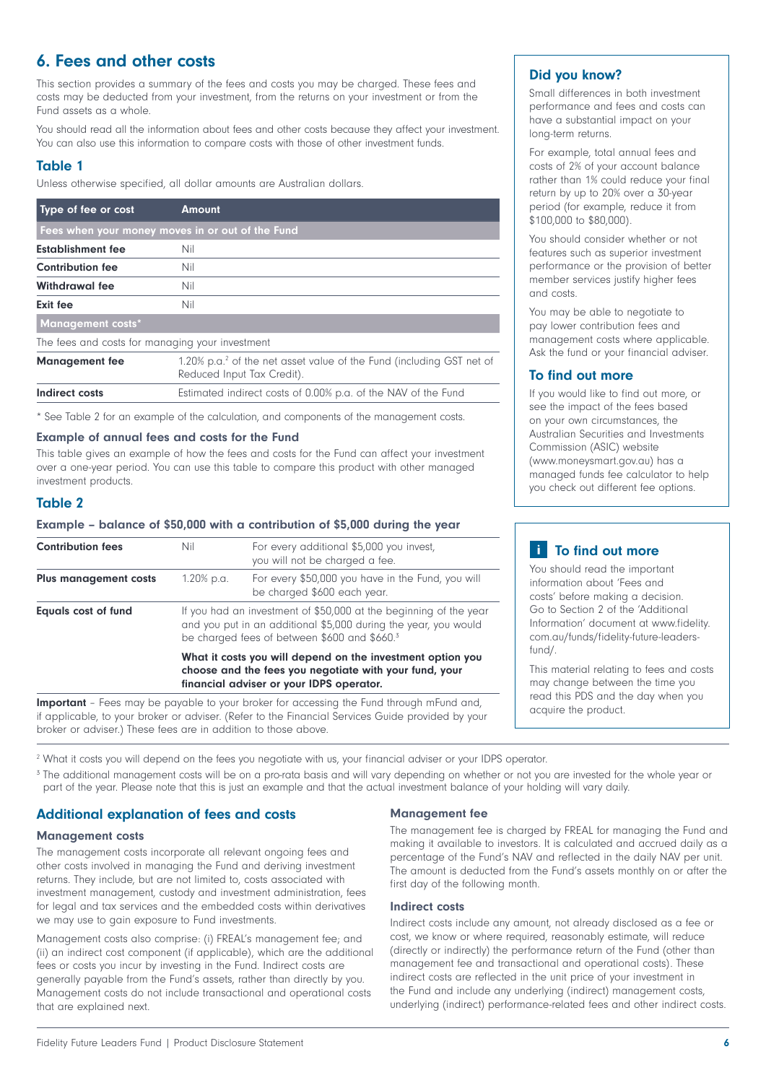# 6. Fees and other costs

This section provides a summary of the fees and costs you may be charged. These fees and costs may be deducted from your investment, from the returns on your investment or from the Fund assets as a whole.

You should read all the information about fees and other costs because they affect your investment. You can also use this information to compare costs with those of other investment funds.

# Table 1

Unless otherwise specified, all dollar amounts are Australian dollars.

| Type of fee or cost                              | <b>Amount</b>                                                                                                  |  |  |  |  |
|--------------------------------------------------|----------------------------------------------------------------------------------------------------------------|--|--|--|--|
| Fees when your money moves in or out of the Fund |                                                                                                                |  |  |  |  |
| <b>Establishment fee</b>                         | Nil                                                                                                            |  |  |  |  |
| <b>Contribution fee</b>                          | Nil                                                                                                            |  |  |  |  |
| <b>Withdrawal fee</b>                            | Nil                                                                                                            |  |  |  |  |
| Exit fee                                         | Nil                                                                                                            |  |  |  |  |
| <b>Management costs*</b>                         |                                                                                                                |  |  |  |  |
| The fees and costs for managing your investment  |                                                                                                                |  |  |  |  |
| <b>Management fee</b>                            | 1.20% p.a. <sup>2</sup> of the net asset value of the Fund (including GST net of<br>Reduced Input Tax Credit). |  |  |  |  |
| Indirect costs                                   | Estimated indirect costs of 0.00% p.a. of the NAV of the Fund                                                  |  |  |  |  |

\* See Table 2 for an example of the calculation, and components of the management costs.

#### Example of annual fees and costs for the Fund

This table gives an example of how the fees and costs for the Fund can affect your investment over a one-year period. You can use this table to compare this product with other managed investment products.

# Table 2

#### Example – balance of \$50,000 with a contribution of \$5,000 during the year

| <b>Contribution fees</b>     | Nil                                                                                                                                                                                              | For every additional \$5,000 you invest,<br>you will not be charged a fee.                      |  |  |
|------------------------------|--------------------------------------------------------------------------------------------------------------------------------------------------------------------------------------------------|-------------------------------------------------------------------------------------------------|--|--|
| <b>Plus management costs</b> | 1.20% p.a.                                                                                                                                                                                       | For every \$50,000 you have in the Fund, you will<br>be charged \$600 each year.                |  |  |
| <b>Equals cost of fund</b>   | If you had an investment of \$50,000 at the beginning of the year<br>and you put in an additional \$5,000 during the year, you would<br>be charged fees of between \$600 and \$660. <sup>3</sup> |                                                                                                 |  |  |
|                              | What it costs you will depend on the investment option you<br>choose and the fees you negotiate with your fund, your<br>financial adviser or your IDPS operator.                                 |                                                                                                 |  |  |
|                              |                                                                                                                                                                                                  | <b>Important</b> - Fees may be payable to your broker for accessing the Fund through mFund and, |  |  |

if applicable, to your broker or adviser. (Refer to the Financial Services Guide provided by your broker or adviser.) These fees are in addition to those above.

2 What it costs you will depend on the fees you negotiate with us, your financial adviser or your IDPS operator.

<sup>3</sup> The additional management costs will be on a pro-rata basis and will vary depending on whether or not you are invested for the whole year or part of the year. Please note that this is just an example and that the actual investment balance of your holding will vary daily.

## Additional explanation of fees and costs

#### Management costs

The management costs incorporate all relevant ongoing fees and other costs involved in managing the Fund and deriving investment returns. They include, but are not limited to, costs associated with investment management, custody and investment administration, fees for legal and tax services and the embedded costs within derivatives we may use to gain exposure to Fund investments.

Management costs also comprise: (i) FREAL's management fee; and (ii) an indirect cost component (if applicable), which are the additional fees or costs you incur by investing in the Fund. Indirect costs are generally payable from the Fund's assets, rather than directly by you. Management costs do not include transactional and operational costs that are explained next.

#### Management fee

The management fee is charged by FREAL for managing the Fund and making it available to investors. It is calculated and accrued daily as a percentage of the Fund's NAV and reflected in the daily NAV per unit. The amount is deducted from the Fund's assets monthly on or after the first day of the following month.

#### Indirect costs

Indirect costs include any amount, not already disclosed as a fee or cost, we know or where required, reasonably estimate, will reduce (directly or indirectly) the performance return of the Fund (other than management fee and transactional and operational costs). These indirect costs are reflected in the unit price of your investment in the Fund and include any underlying (indirect) management costs, underlying (indirect) performance-related fees and other indirect costs.

## Did you know?

Small differences in both investment performance and fees and costs can have a substantial impact on your long-term returns.

For example, total annual fees and costs of 2% of your account balance rather than 1% could reduce your final return by up to 20% over a 30-year period (for example, reduce it from \$100,000 to \$80,000).

You should consider whether or not features such as superior investment performance or the provision of better member services justify higher fees and costs.

You may be able to negotiate to pay lower contribution fees and management costs where applicable. Ask the fund or your financial adviser.

## To find out more

If you would like to find out more, or see the impact of the fees based on your own circumstances, the Australian Securities and Investments Commission (ASIC) website (www.moneysmart.gov.au) has a managed funds fee calculator to help you check out different fee options.

# **i** To find out more

You should read the important information about 'Fees and costs' before making a decision. Go to Section 2 of the 'Additional Information' document at www.fidelity. com.au/funds/fidelity-future-leadersfund/.

This material relating to fees and costs may change between the time you read this PDS and the day when you acquire the product.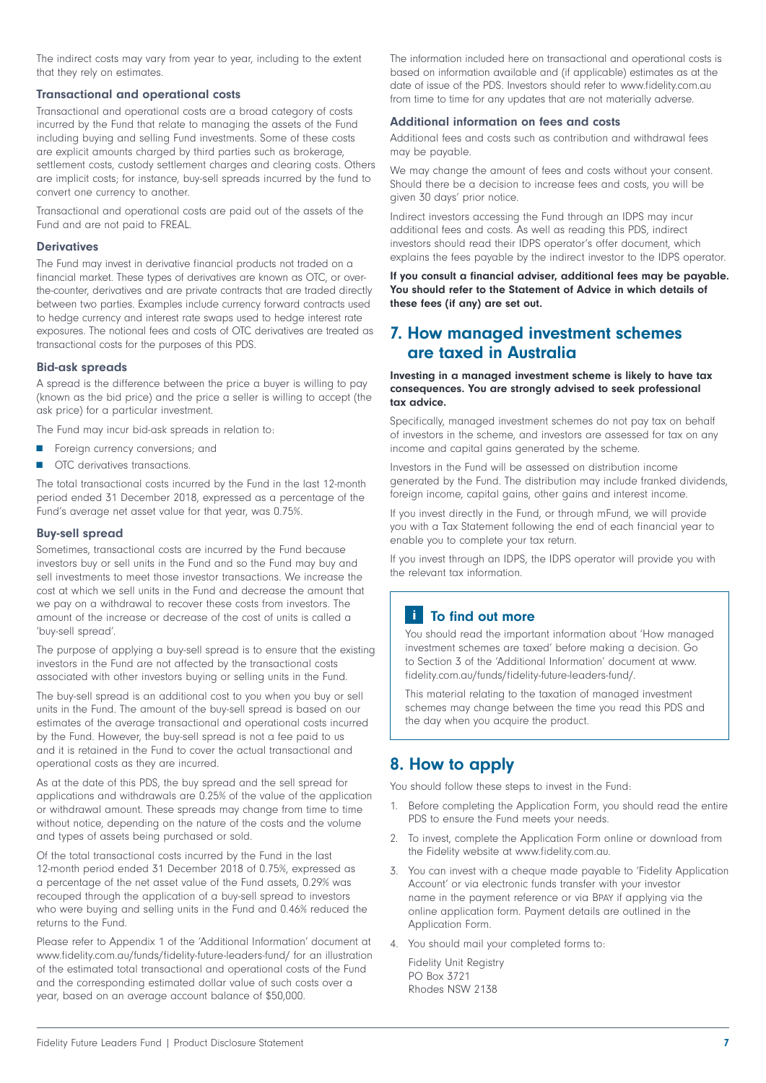The indirect costs may vary from year to year, including to the extent that they rely on estimates.

## Transactional and operational costs

Transactional and operational costs are a broad category of costs incurred by the Fund that relate to managing the assets of the Fund including buying and selling Fund investments. Some of these costs are explicit amounts charged by third parties such as brokerage, settlement costs, custody settlement charges and clearing costs. Others are implicit costs; for instance, buy-sell spreads incurred by the fund to convert one currency to another.

Transactional and operational costs are paid out of the assets of the Fund and are not paid to FREAL.

## **Derivatives**

The Fund may invest in derivative financial products not traded on a financial market. These types of derivatives are known as OTC, or overthe-counter, derivatives and are private contracts that are traded directly between two parties. Examples include currency forward contracts used to hedge currency and interest rate swaps used to hedge interest rate exposures. The notional fees and costs of OTC derivatives are treated as transactional costs for the purposes of this PDS.

#### Bid-ask spreads

A spread is the difference between the price a buyer is willing to pay (known as the bid price) and the price a seller is willing to accept (the ask price) for a particular investment.

The Fund may incur bid-ask spreads in relation to:

- Foreign currency conversions; and
- OTC derivatives transactions.

The total transactional costs incurred by the Fund in the last 12-month period ended 31 December 2018, expressed as a percentage of the Fund's average net asset value for that year, was 0.75%.

#### Buy-sell spread

Sometimes, transactional costs are incurred by the Fund because investors buy or sell units in the Fund and so the Fund may buy and sell investments to meet those investor transactions. We increase the cost at which we sell units in the Fund and decrease the amount that we pay on a withdrawal to recover these costs from investors. The amount of the increase or decrease of the cost of units is called a 'buy-sell spread'.

The purpose of applying a buy-sell spread is to ensure that the existing investors in the Fund are not affected by the transactional costs associated with other investors buying or selling units in the Fund.

The buy-sell spread is an additional cost to you when you buy or sell units in the Fund. The amount of the buy-sell spread is based on our estimates of the average transactional and operational costs incurred by the Fund. However, the buy-sell spread is not a fee paid to us and it is retained in the Fund to cover the actual transactional and operational costs as they are incurred.

As at the date of this PDS, the buy spread and the sell spread for applications and withdrawals are 0.25% of the value of the application or withdrawal amount. These spreads may change from time to time without notice, depending on the nature of the costs and the volume and types of assets being purchased or sold.

Of the total transactional costs incurred by the Fund in the last 12-month period ended 31 December 2018 of 0.75%, expressed as a percentage of the net asset value of the Fund assets, 0.29% was recouped through the application of a buy-sell spread to investors who were buying and selling units in the Fund and 0.46% reduced the returns to the Fund.

Please refer to Appendix 1 of the 'Additional Information' document at www.fidelity.com.au/funds/fidelity-future-leaders-fund/ for an illustration of the estimated total transactional and operational costs of the Fund and the corresponding estimated dollar value of such costs over a year, based on an average account balance of \$50,000.

The information included here on transactional and operational costs is based on information available and (if applicable) estimates as at the date of issue of the PDS. Investors should refer to www.fidelity.com.au from time to time for any updates that are not materially adverse.

#### Additional information on fees and costs

Additional fees and costs such as contribution and withdrawal fees may be payable.

We may change the amount of fees and costs without your consent. Should there be a decision to increase fees and costs, you will be given 30 days' prior notice.

Indirect investors accessing the Fund through an IDPS may incur additional fees and costs. As well as reading this PDS, indirect investors should read their IDPS operator's offer document, which explains the fees payable by the indirect investor to the IDPS operator.

If you consult a financial adviser, additional fees may be payable. You should refer to the Statement of Advice in which details of these fees (if any) are set out.

# 7. How managed investment schemes are taxed in Australia

#### Investing in a managed investment scheme is likely to have tax consequences. You are strongly advised to seek professional tax advice.

Specifically, managed investment schemes do not pay tax on behalf of investors in the scheme, and investors are assessed for tax on any income and capital gains generated by the scheme.

Investors in the Fund will be assessed on distribution income generated by the Fund. The distribution may include franked dividends, foreign income, capital gains, other gains and interest income.

If you invest directly in the Fund, or through mFund, we will provide you with a Tax Statement following the end of each financial year to enable you to complete your tax return.

If you invest through an IDPS, the IDPS operator will provide you with the relevant tax information.

# **T** To find out more

You should read the important information about 'How managed investment schemes are taxed' before making a decision. Go to Section 3 of the 'Additional Information' document at www. fidelity.com.au/funds/fidelity-future-leaders-fund/.

This material relating to the taxation of managed investment schemes may change between the time you read this PDS and the day when you acquire the product.

# 8. How to apply

You should follow these steps to invest in the Fund:

- 1. Before completing the Application Form, you should read the entire PDS to ensure the Fund meets your needs.
- 2. To invest, complete the Application Form online or download from the Fidelity website at www.fidelity.com.au.
- 3. You can invest with a cheque made payable to 'Fidelity Application Account' or via electronic funds transfer with your investor name in the payment reference or via Bpay if applying via the online application form. Payment details are outlined in the Application Form.
- 4. You should mail your completed forms to:

 Fidelity Unit Registry PO Box 3721 Rhodes NSW 2138